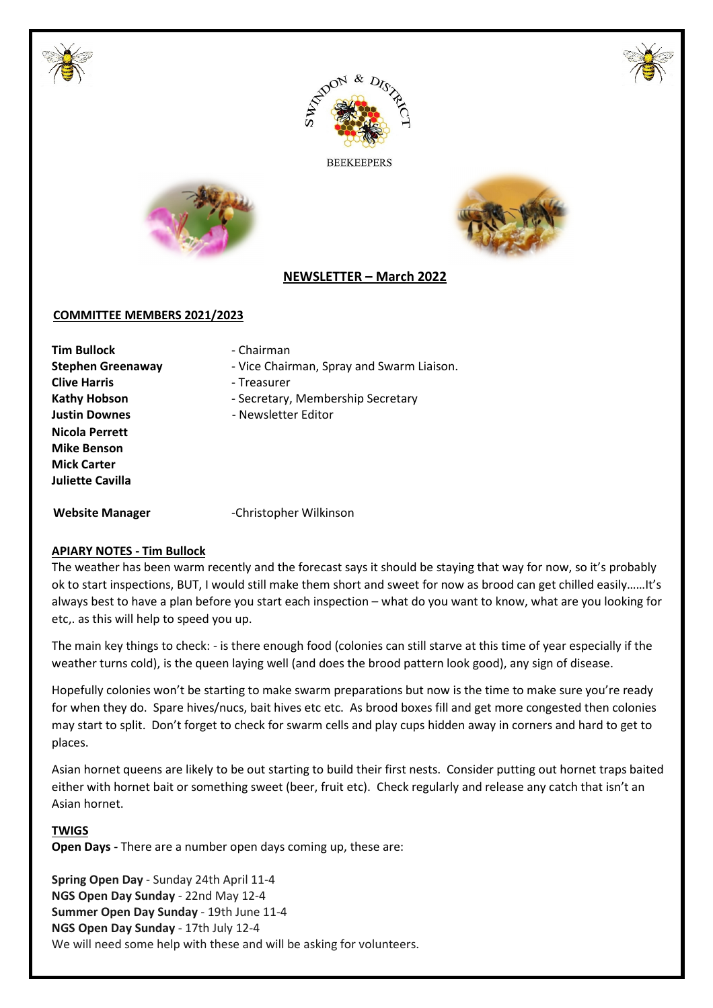





**BEEKEEPERS** 





# **NEWSLETTER – March 2022**

#### **COMMITTEE MEMBERS 2021/2023**

**Tim Bullock** - Chairman **Clive Harris Clive Harris Figure 1 Nicola Perrett Mike Benson Mick Carter Juliette Cavilla** 

- **Stephen Greenaway Vice Chairman, Spray and Swarm Liaison.** 
	-
- Kathy Hobson **Figure 3** Secretary, Membership Secretary
- **Justin Downes Comparent Comparent Function Newsletter Editor**

Website Manager **Christopher Wilkinson** 

# **APIARY NOTES - Tim Bullock**

The weather has been warm recently and the forecast says it should be staying that way for now, so it's probably ok to start inspections, BUT, I would still make them short and sweet for now as brood can get chilled easily……It's always best to have a plan before you start each inspection – what do you want to know, what are you looking for etc,. as this will help to speed you up.

The main key things to check: - is there enough food (colonies can still starve at this time of year especially if the weather turns cold), is the queen laying well (and does the brood pattern look good), any sign of disease.

Hopefully colonies won't be starting to make swarm preparations but now is the time to make sure you're ready for when they do. Spare hives/nucs, bait hives etc etc. As brood boxes fill and get more congested then colonies may start to split. Don't forget to check for swarm cells and play cups hidden away in corners and hard to get to places.

Asian hornet queens are likely to be out starting to build their first nests. Consider putting out hornet traps baited either with hornet bait or something sweet (beer, fruit etc). Check regularly and release any catch that isn't an Asian hornet.

# **TWIGS**

**Open Days -** There are a number open days coming up, these are:

**Spring Open Day** - Sunday 24th April 11-4 **NGS Open Day Sunday** - 22nd May 12-4 **Summer Open Day Sunday** - 19th June 11-4 **NGS Open Day Sunday** - 17th July 12-4 We will need some help with these and will be asking for volunteers.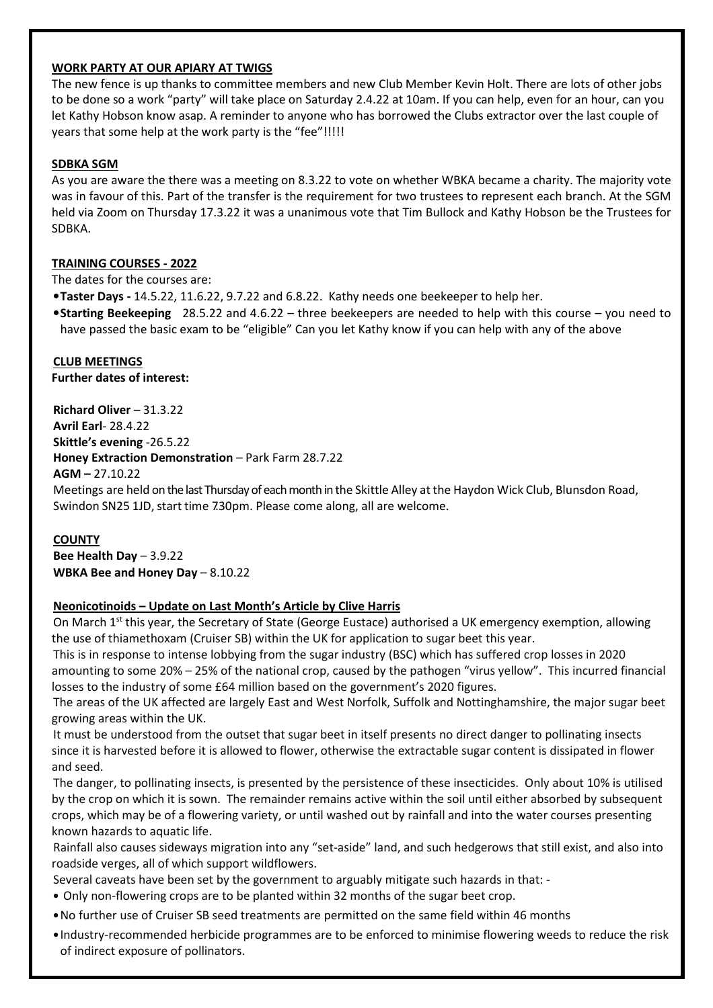#### **WORK PARTY AT OUR APIARY AT TWIGS**

The new fence is up thanks to committee members and new Club Member Kevin Holt. There are lots of other jobs to be done so a work "party" will take place on Saturday 2.4.22 at 10am. If you can help, even for an hour, can you let Kathy Hobson know asap. A reminder to anyone who has borrowed the Clubs extractor over the last couple of years that some help at the work party is the "fee"!!!!!

#### **SDBKA SGM**

As you are aware the there was a meeting on 8.3.22 to vote on whether WBKA became a charity. The majority vote was in favour of this. Part of the transfer is the requirement for two trustees to represent each branch. At the SGM held via Zoom on Thursday 17.3.22 it was a unanimous vote that Tim Bullock and Kathy Hobson be the Trustees for SDBKA.

# **TRAINING COURSES - 2022**

The dates for the courses are:

- •**Taster Days** 14.5.22, 11.6.22, 9.7.22 and 6.8.22. Kathy needs one beekeeper to help her.
- •**Starting Beekeeping** 28.5.22 and 4.6.22 three beekeepers are needed to help with this course you need to have passed the basic exam to be "eligible" Can you let Kathy know if you can help with any of the above

# **CLUB MEETINGS**

**Further dates of interest:** 

**Richard Oliver** – 31.3.22 **Avril Earl**- 28.4.22 **Skittle's evening** -26.5.22 **Honey Extraction Demonstration** – Park Farm 28.7.22 **AGM –** 27.10.22 Meetings are held on the last Thursday of each month in the Skittle Alley at the Haydon Wick Club, Blunsdon Road, Swindon SN25 1JD, start time 7.30pm. Please come along, all are welcome.

# **COUNTY**

**Bee Health Day** – 3.9.22 **WBKA Bee and Honey Day - 8.10.22** 

# **Neonicotinoids – Update on Last Month's Article by Clive Harris**

On March 1<sup>st</sup> this year, the Secretary of State (George Eustace) authorised a UK emergency exemption, allowing the use of thiamethoxam (Cruiser SB) within the UK for application to sugar beet this year.

This is in response to intense lobbying from the sugar industry (BSC) which has suffered crop losses in 2020 amounting to some 20% – 25% of the national crop, caused by the pathogen "virus yellow". This incurred financial losses to the industry of some £64 million based on the government's 2020 figures.

The areas of the UK affected are largely East and West Norfolk, Suffolk and Nottinghamshire, the major sugar beet growing areas within the UK.

It must be understood from the outset that sugar beet in itself presents no direct danger to pollinating insects since it is harvested before it is allowed to flower, otherwise the extractable sugar content is dissipated in flower and seed.

The danger, to pollinating insects, is presented by the persistence of these insecticides. Only about 10% is utilised by the crop on which it is sown. The remainder remains active within the soil until either absorbed by subsequent crops, which may be of a flowering variety, or until washed out by rainfall and into the water courses presenting known hazards to aquatic life.

Rainfall also causes sideways migration into any "set-aside" land, and such hedgerows that still exist, and also into roadside verges, all of which support wildflowers.

- Several caveats have been set by the government to arguably mitigate such hazards in that: -
- Only non-flowering crops are to be planted within 32 months of the sugar beet crop.
- •No further use of Cruiser SB seed treatments are permitted on the same field within 46 months
- Industry-recommended herbicide programmes are to be enforced to minimise flowering weeds to reduce the risk of indirect exposure of pollinators.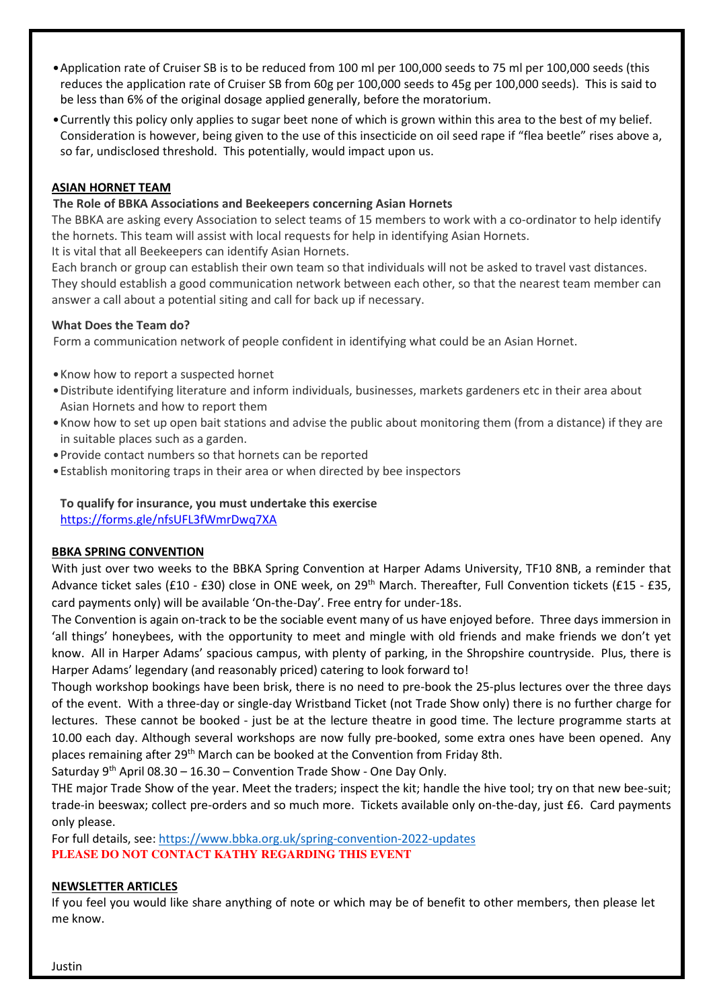- •Application rate of Cruiser SB is to be reduced from 100 ml per 100,000 seeds to 75 ml per 100,000 seeds (this reduces the application rate of Cruiser SB from 60g per 100,000 seeds to 45g per 100,000 seeds). This is said to be less than 6% of the original dosage applied generally, before the moratorium.
- •Currently this policy only applies to sugar beet none of which is grown within this area to the best of my belief. Consideration is however, being given to the use of this insecticide on oil seed rape if "flea beetle" rises above a, so far, undisclosed threshold. This potentially, would impact upon us.

# **ASIAN HORNET TEAM**

# **The Role of BBKA Associations and Beekeepers concerning Asian Hornets**

The BBKA are asking every Association to select teams of 15 members to work with a co-ordinator to help identify the hornets. This team will assist with local requests for help in identifying Asian Hornets.

It is vital that all Beekeepers can identify Asian Hornets.

Each branch or group can establish their own team so that individuals will not be asked to travel vast distances. They should establish a good communication network between each other, so that the nearest team member can answer a call about a potential siting and call for back up if necessary.

# **What Does the Team do?**

Form a communication network of people confident in identifying what could be an Asian Hornet.

- •Know how to report a suspected hornet
- •Distribute identifying literature and inform individuals, businesses, markets gardeners etc in their area about Asian Hornets and how to report them
- •Know how to set up open bait stations and advise the public about monitoring them (from a distance) if they are in suitable places such as a garden.
- •Provide contact numbers so that hornets can be reported
- •Establish monitoring traps in their area or when directed by bee inspectors

**To qualify for insurance, you must undertake this exercise**  https://forms.gle/nfsUFL3fWmrDwq7XA

# **BBKA SPRING CONVENTION**

With just over two weeks to the BBKA Spring Convention at Harper Adams University, TF10 8NB, a reminder that Advance ticket sales (£10 - £30) close in ONE week, on 29<sup>th</sup> March. Thereafter, Full Convention tickets (£15 - £35, card payments only) will be available 'On-the-Day'. Free entry for under-18s.

The Convention is again on-track to be the sociable event many of us have enjoyed before. Three days immersion in 'all things' honeybees, with the opportunity to meet and mingle with old friends and make friends we don't yet know. All in Harper Adams' spacious campus, with plenty of parking, in the Shropshire countryside. Plus, there is Harper Adams' legendary (and reasonably priced) catering to look forward to!

Though workshop bookings have been brisk, there is no need to pre-book the 25-plus lectures over the three days of the event. With a three-day or single-day Wristband Ticket (not Trade Show only) there is no further charge for lectures. These cannot be booked - just be at the lecture theatre in good time. The lecture programme starts at 10.00 each day. Although several workshops are now fully pre-booked, some extra ones have been opened. Any places remaining after 29<sup>th</sup> March can be booked at the Convention from Friday 8th.

Saturday  $9^{th}$  April 08.30 – 16.30 – Convention Trade Show - One Day Only.

THE major Trade Show of the year. Meet the traders; inspect the kit; handle the hive tool; try on that new bee-suit; trade-in beeswax; collect pre-orders and so much more. Tickets available only on-the-day, just £6. Card payments only please.

For full details, see: https://www.bbka.org.uk/spring-convention-2022-updates **PLEASE DO NOT CONTACT KATHY REGARDING THIS EVENT**

# **NEWSLETTER ARTICLES**

If you feel you would like share anything of note or which may be of benefit to other members, then please let me know.